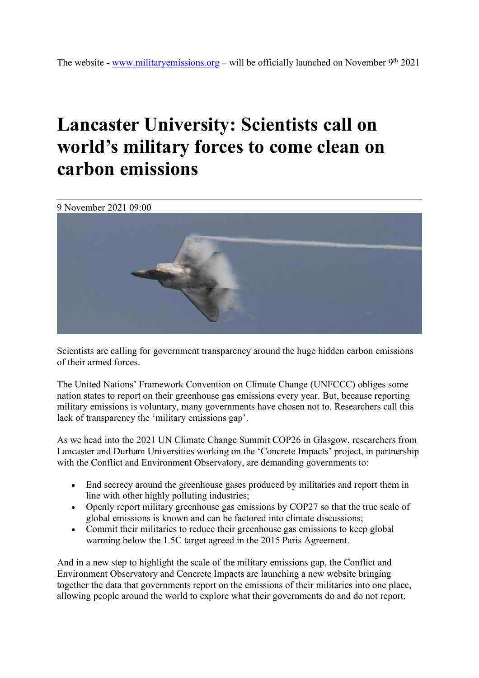## **Lancaster University: Scientists call on world's military forces to come clean on carbon emissions**

9 November 2021 09:00



Scientists are calling for government transparency around the huge hidden carbon emissions of their armed forces.

The United Nations' Framework Convention on Climate Change (UNFCCC) obliges some nation states to report on their greenhouse gas emissions every year. But, because reporting military emissions is voluntary, many governments have chosen not to. Researchers call this lack of transparency the 'military emissions gap'.

As we head into the 2021 UN Climate Change Summit COP26 in Glasgow, researchers from Lancaster and Durham Universities working on the 'Concrete Impacts' project, in partnership with the Conflict and Environment Observatory, are demanding governments to:

- End secrecy around the greenhouse gases produced by militaries and report them in line with other highly polluting industries;
- Openly report military greenhouse gas emissions by COP27 so that the true scale of global emissions is known and can be factored into climate discussions;
- Commit their militaries to reduce their greenhouse gas emissions to keep global warming below the 1.5C target agreed in the 2015 Paris Agreement.

And in a new step to highlight the scale of the military emissions gap, the Conflict and Environment Observatory and Concrete Impacts are launching a new website bringing together the data that governments report on the emissions of their militaries into one place, allowing people around the world to explore what their governments do and do not report.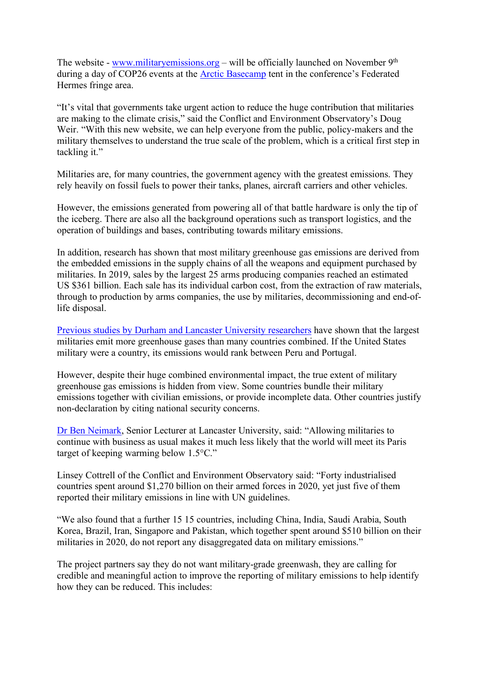The website - www.militaryemissions.org – will be officially launched on November 9<sup>th</sup> during a day of COP26 events at the Arctic Basecamp tent in the conference's Federated Hermes fringe area.

"It's vital that governments take urgent action to reduce the huge contribution that militaries are making to the climate crisis," said the Conflict and Environment Observatory's Doug Weir. "With this new website, we can help everyone from the public, policy-makers and the military themselves to understand the true scale of the problem, which is a critical first step in tackling it."

Militaries are, for many countries, the government agency with the greatest emissions. They rely heavily on fossil fuels to power their tanks, planes, aircraft carriers and other vehicles.

However, the emissions generated from powering all of that battle hardware is only the tip of the iceberg. There are also all the background operations such as transport logistics, and the operation of buildings and bases, contributing towards military emissions.

In addition, research has shown that most military greenhouse gas emissions are derived from the embedded emissions in the supply chains of all the weapons and equipment purchased by militaries. In 2019, sales by the largest 25 arms producing companies reached an estimated US \$361 billion. Each sale has its individual carbon cost, from the extraction of raw materials, through to production by arms companies, the use by militaries, decommissioning and end-oflife disposal.

Previous studies by Durham and Lancaster University researchers have shown that the largest militaries emit more greenhouse gases than many countries combined. If the United States military were a country, its emissions would rank between Peru and Portugal.

However, despite their huge combined environmental impact, the true extent of military greenhouse gas emissions is hidden from view. Some countries bundle their military emissions together with civilian emissions, or provide incomplete data. Other countries justify non-declaration by citing national security concerns.

Dr Ben Neimark, Senior Lecturer at Lancaster University, said: "Allowing militaries to continue with business as usual makes it much less likely that the world will meet its Paris target of keeping warming below 1.5°C."

Linsey Cottrell of the Conflict and Environment Observatory said: "Forty industrialised countries spent around \$1,270 billion on their armed forces in 2020, yet just five of them reported their military emissions in line with UN guidelines.

"We also found that a further 15 15 countries, including China, India, Saudi Arabia, South Korea, Brazil, Iran, Singapore and Pakistan, which together spent around \$510 billion on their militaries in 2020, do not report any disaggregated data on military emissions."

The project partners say they do not want military-grade greenwash, they are calling for credible and meaningful action to improve the reporting of military emissions to help identify how they can be reduced. This includes: